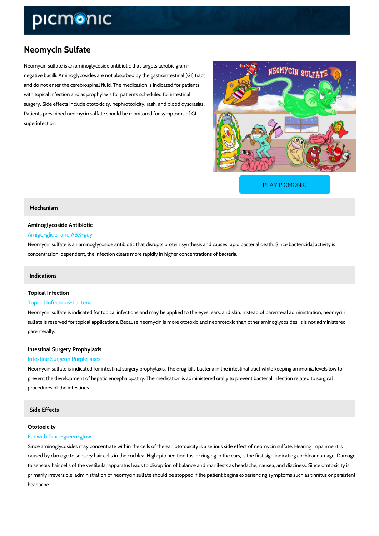# Neomycin Sulfate

Neomycin sulfate is an aminoglycoside antibiotic that targets aerobic gram negative bacilli. Aminoglycosides are not absorbed by the gastrointestinal (GI) tract and do not enter the cerebrospinal fluid. The medication is indicated for patients with topical infection and as prophylaxis for patients scheduled for intestinal surgery. Side effects include ototoxicity, nephrotoxicity, rash, and blood dyscrasias. Patients prescribed neomycin sulfate should be monitored for symptoms of GI superinfection.

[PLAY PICMONIC](https://www.picmonic.com/learn/neomycin-sulfate_2191?utm_source=downloadable_content&utm_medium=distributedcontent&utm_campaign=pathways_pdf&utm_content=Neomycin Sulfate&utm_ad_group=leads&utm_market=all)

Mechanism

# Aminoglycoside Antibiotic

#### Amigo-glider and ABX-guy

Neomycin sulfate is an aminoglycoside antibiotic that disrupts protein synthesis and causes ra concentration-dependent, the infection clears more rapidly in higher concentrations of bacteri

### Indications

# Topical Infection Topical Infectious-bacteria

Neomycin sulfate is indicated for topical infections and may be applied to the eyes, ears, and sulfate is reserved for topical applications. Because neomycin is more ototoxic and nephrotox parenterally.

## Intestinal Surgery Prophylaxis

### Intestine Surgeon Purple-axes

Neomycin sulfate is indicated for intestinal surgery prophylaxis. The drug kills bacteria in the prevent the development of hepatic encephalopathy. The medication is administered orally to procedures of the intestines.

Side Effects

# Ototoxicity

# Ear with Toxic-green-glow

Since aminoglycosides may concentrate within the cells of the ear, ototoxicity is a serious side caused by damage to sensory hair cells in the cochlea. High-pitched tinnitus, or ringing in the to sensory hair cells of the vestibular apparatus leads to disruption of balance and manifests primarily irreversible, administration of neomycin sulfate should be stopped if the patient beg headache.